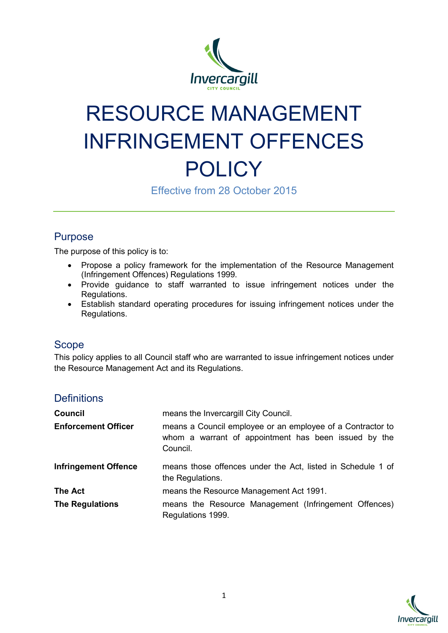

# RESOURCE MANAGEMENT INFRINGEMENT OFFENCES **POLICY**

Effective from 28 October 2015

## Purpose

The purpose of this policy is to:

- Propose a policy framework for the implementation of the Resource Management (Infringement Offences) Regulations 1999.
- Provide guidance to staff warranted to issue infringement notices under the Regulations.
- Establish standard operating procedures for issuing infringement notices under the Regulations.

## Scope

This policy applies to all Council staff who are warranted to issue infringement notices under the Resource Management Act and its Regulations.

## **Definitions**

| <b>Council</b><br><b>Enforcement Officer</b> | means the Invercargill City Council.<br>means a Council employee or an employee of a Contractor to<br>whom a warrant of appointment has been issued by the<br>Council. |
|----------------------------------------------|------------------------------------------------------------------------------------------------------------------------------------------------------------------------|
| <b>Infringement Offence</b>                  | means those offences under the Act, listed in Schedule 1 of<br>the Regulations.                                                                                        |
| <b>The Act</b>                               | means the Resource Management Act 1991.                                                                                                                                |
| <b>The Regulations</b>                       | means the Resource Management (Infringement Offences)<br>Regulations 1999.                                                                                             |

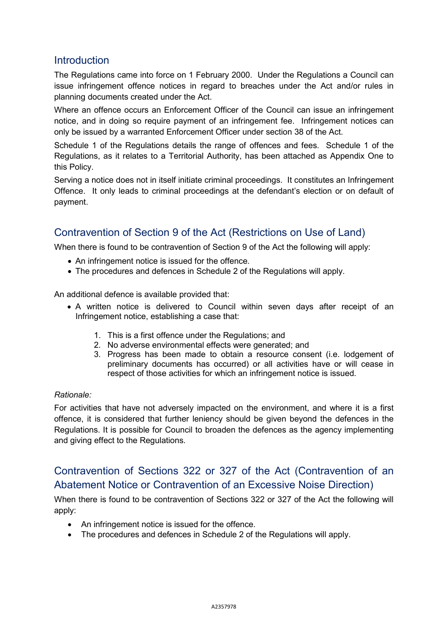### **Introduction**

The Regulations came into force on 1 February 2000. Under the Regulations a Council can issue infringement offence notices in regard to breaches under the Act and/or rules in planning documents created under the Act.

Where an offence occurs an Enforcement Officer of the Council can issue an infringement notice, and in doing so require payment of an infringement fee. Infringement notices can only be issued by a warranted Enforcement Officer under section 38 of the Act.

Schedule 1 of the Regulations details the range of offences and fees. Schedule 1 of the Regulations, as it relates to a Territorial Authority, has been attached as Appendix One to this Policy.

Serving a notice does not in itself initiate criminal proceedings. It constitutes an Infringement Offence. It only leads to criminal proceedings at the defendant's election or on default of payment.

## Contravention of Section 9 of the Act (Restrictions on Use of Land)

When there is found to be contravention of Section 9 of the Act the following will apply:

- An infringement notice is issued for the offence.
- The procedures and defences in Schedule 2 of the Regulations will apply.

An additional defence is available provided that:

- A written notice is delivered to Council within seven days after receipt of an Infringement notice, establishing a case that:
	- 1. This is a first offence under the Regulations; and
	- 2. No adverse environmental effects were generated; and
	- 3. Progress has been made to obtain a resource consent (i.e. lodgement of preliminary documents has occurred) or all activities have or will cease in respect of those activities for which an infringement notice is issued.

#### *Rationale:*

For activities that have not adversely impacted on the environment, and where it is a first offence, it is considered that further leniency should be given beyond the defences in the Regulations. It is possible for Council to broaden the defences as the agency implementing and giving effect to the Regulations.

## Contravention of Sections 322 or 327 of the Act (Contravention of an Abatement Notice or Contravention of an Excessive Noise Direction)

When there is found to be contravention of Sections 322 or 327 of the Act the following will apply:

- An infringement notice is issued for the offence.
- The procedures and defences in Schedule 2 of the Regulations will apply.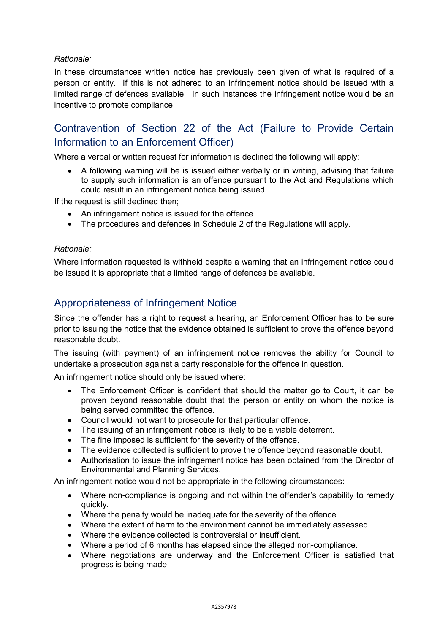#### *Rationale:*

In these circumstances written notice has previously been given of what is required of a person or entity. If this is not adhered to an infringement notice should be issued with a limited range of defences available. In such instances the infringement notice would be an incentive to promote compliance.

## Contravention of Section 22 of the Act (Failure to Provide Certain Information to an Enforcement Officer)

Where a verbal or written request for information is declined the following will apply:

• A following warning will be is issued either verbally or in writing, advising that failure to supply such information is an offence pursuant to the Act and Regulations which could result in an infringement notice being issued.

If the request is still declined then;

- An infringement notice is issued for the offence.
- The procedures and defences in Schedule 2 of the Regulations will apply.

#### *Rationale:*

Where information requested is withheld despite a warning that an infringement notice could be issued it is appropriate that a limited range of defences be available.

#### Appropriateness of Infringement Notice

Since the offender has a right to request a hearing, an Enforcement Officer has to be sure prior to issuing the notice that the evidence obtained is sufficient to prove the offence beyond reasonable doubt.

The issuing (with payment) of an infringement notice removes the ability for Council to undertake a prosecution against a party responsible for the offence in question.

An infringement notice should only be issued where:

- The Enforcement Officer is confident that should the matter go to Court, it can be proven beyond reasonable doubt that the person or entity on whom the notice is being served committed the offence.
- Council would not want to prosecute for that particular offence.
- The issuing of an infringement notice is likely to be a viable deterrent.
- The fine imposed is sufficient for the severity of the offence.
- The evidence collected is sufficient to prove the offence beyond reasonable doubt.
- Authorisation to issue the infringement notice has been obtained from the Director of Environmental and Planning Services.

An infringement notice would not be appropriate in the following circumstances:

- Where non-compliance is ongoing and not within the offender's capability to remedy quickly.
- Where the penalty would be inadequate for the severity of the offence.
- Where the extent of harm to the environment cannot be immediately assessed.
- Where the evidence collected is controversial or insufficient.
- Where a period of 6 months has elapsed since the alleged non-compliance.
- Where negotiations are underway and the Enforcement Officer is satisfied that progress is being made.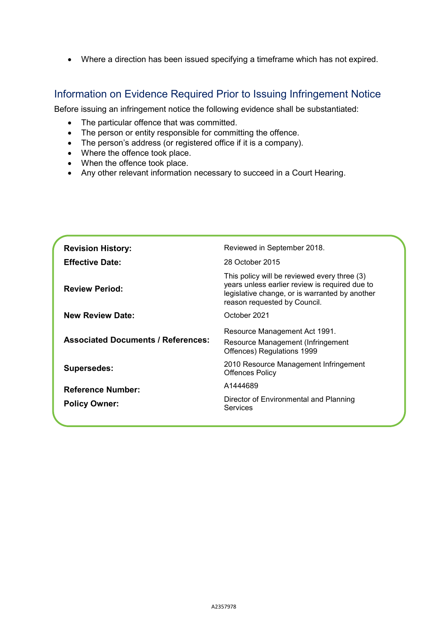• Where a direction has been issued specifying a timeframe which has not expired.

## Information on Evidence Required Prior to Issuing Infringement Notice

Before issuing an infringement notice the following evidence shall be substantiated:

- The particular offence that was committed.
- The person or entity responsible for committing the offence.
- The person's address (or registered office if it is a company).
- Where the offence took place.
- When the offence took place.
- Any other relevant information necessary to succeed in a Court Hearing.

| <b>Revision History:</b>                  | Reviewed in September 2018.                                                                                                                                                      |  |
|-------------------------------------------|----------------------------------------------------------------------------------------------------------------------------------------------------------------------------------|--|
| <b>Effective Date:</b>                    | 28 October 2015                                                                                                                                                                  |  |
| <b>Review Period:</b>                     | This policy will be reviewed every three (3)<br>years unless earlier review is required due to<br>legislative change, or is warranted by another<br>reason requested by Council. |  |
| <b>New Review Date:</b>                   | October 2021                                                                                                                                                                     |  |
| <b>Associated Documents / References:</b> | Resource Management Act 1991.<br>Resource Management (Infringement<br>Offences) Regulations 1999                                                                                 |  |
| <b>Supersedes:</b>                        | 2010 Resource Management Infringement<br><b>Offences Policy</b>                                                                                                                  |  |
| <b>Reference Number:</b>                  | A1444689                                                                                                                                                                         |  |
| <b>Policy Owner:</b>                      | Director of Environmental and Planning<br>Services                                                                                                                               |  |
|                                           |                                                                                                                                                                                  |  |